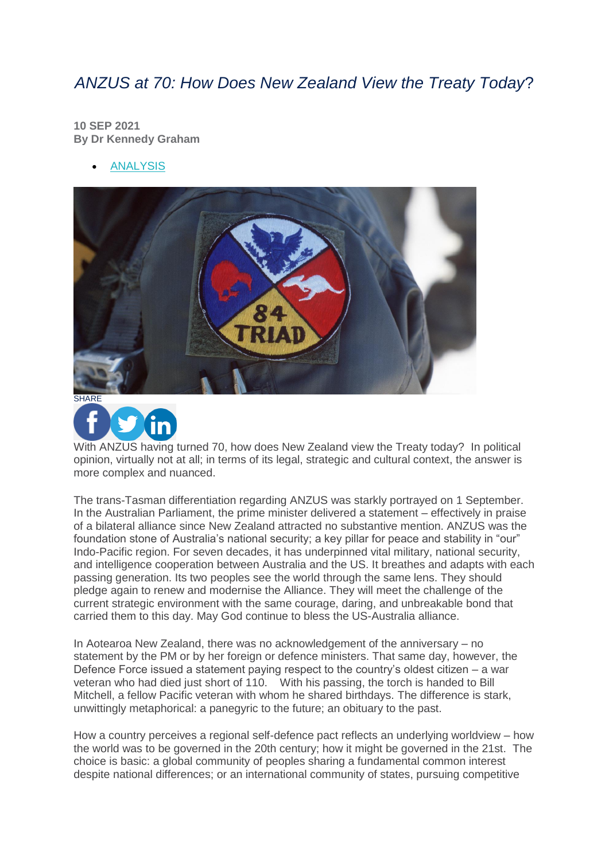## *ANZUS at 70: How Does New Zealand View the Treaty Today*?

**10 SEP 2021 By Dr Kennedy Graham**

[ANALYSIS](https://www.internationalaffairs.org.au/australian-outlook/?filter%5b%5d=analysis)





With ANZUS having turned 70, how does New Zealand view the Treaty today? In political opinion, virtually not at all; in terms of its legal, strategic and cultural context, the answer is more complex and nuanced.

The trans-Tasman differentiation regarding ANZUS was starkly portrayed on 1 September. In the Australian Parliament, the prime minister delivered a statement – effectively in praise of a bilateral alliance since New Zealand attracted no substantive mention. ANZUS was the foundation stone of Australia's national security; a key pillar for peace and stability in "our" Indo-Pacific region. For seven decades, it has underpinned vital military, national security, and intelligence cooperation between Australia and the US. It breathes and adapts with each passing generation. Its two peoples see the world through the same lens. They should pledge again to renew and modernise the Alliance. They will meet the challenge of the current strategic environment with the same courage, daring, and unbreakable bond that carried them to this day. May God continue to bless the US-Australia alliance.

In Aotearoa New Zealand, there was no acknowledgement of the anniversary – no statement by the PM or by her foreign or defence ministers. That same day, however, the Defence Force issued a statement paying respect to the country's oldest citizen – a war veteran who had died just short of 110. With his passing, the torch is handed to Bill Mitchell, a fellow Pacific veteran with whom he shared birthdays. The difference is stark, unwittingly metaphorical: a panegyric to the future; an obituary to the past.

How a country perceives a regional self-defence pact reflects an underlying worldview – how the world was to be governed in the 20th century; how it might be governed in the 21st. The choice is basic: a global community of peoples sharing a fundamental common interest despite national differences; or an international community of states, pursuing competitive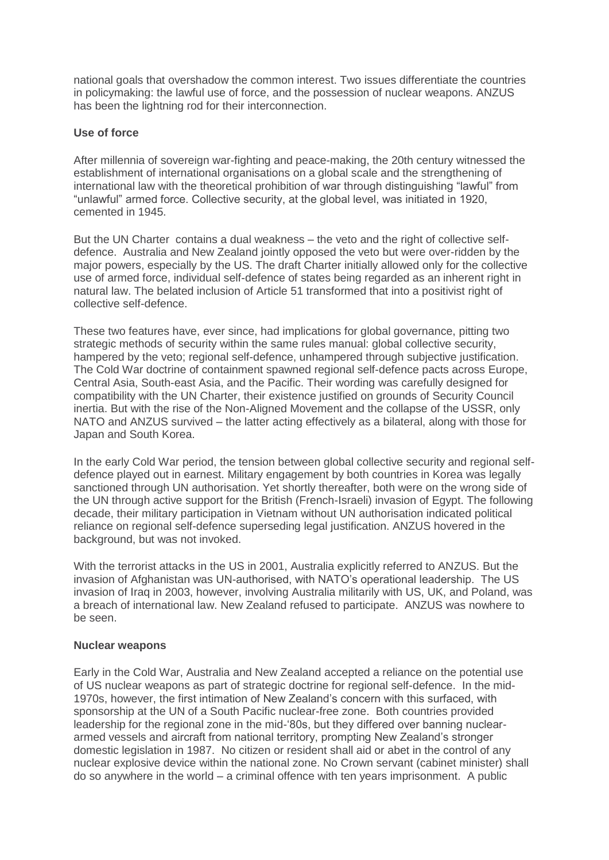national goals that overshadow the common interest. Two issues differentiate the countries in policymaking: the lawful use of force, and the possession of nuclear weapons. ANZUS has been the lightning rod for their interconnection.

## **Use of force**

After millennia of sovereign war-fighting and peace-making, the 20th century witnessed the establishment of international organisations on a global scale and the strengthening of international law with the theoretical prohibition of war through distinguishing "lawful" from "unlawful" armed force. Collective security, at the global level, was initiated in 1920, cemented in 1945.

But the UN Charter contains a dual weakness – the veto and the right of collective selfdefence. Australia and New Zealand jointly opposed the veto but were over-ridden by the major powers, especially by the US. The draft Charter initially allowed only for the collective use of armed force, individual self-defence of states being regarded as an inherent right in natural law. The belated inclusion of Article 51 transformed that into a positivist right of collective self-defence.

These two features have, ever since, had implications for global governance, pitting two strategic methods of security within the same rules manual: global collective security, hampered by the veto; regional self-defence, unhampered through subjective justification. The Cold War doctrine of containment spawned regional self-defence pacts across Europe, Central Asia, South-east Asia, and the Pacific. Their wording was carefully designed for compatibility with the UN Charter, their existence justified on grounds of Security Council inertia. But with the rise of the Non-Aligned Movement and the collapse of the USSR, only NATO and ANZUS survived – the latter acting effectively as a bilateral, along with those for Japan and South Korea.

In the early Cold War period, the tension between global collective security and regional selfdefence played out in earnest. Military engagement by both countries in Korea was legally sanctioned through UN authorisation. Yet shortly thereafter, both were on the wrong side of the UN through active support for the British (French-Israeli) invasion of Egypt. The following decade, their military participation in Vietnam without UN authorisation indicated political reliance on regional self-defence superseding legal justification. ANZUS hovered in the background, but was not invoked.

With the terrorist attacks in the US in 2001, Australia explicitly referred to ANZUS. But the invasion of Afghanistan was UN-authorised, with NATO's operational leadership. The US invasion of Iraq in 2003, however, involving Australia militarily with US, UK, and Poland, was a breach of international law. New Zealand refused to participate. ANZUS was nowhere to be seen.

## **Nuclear weapons**

Early in the Cold War, Australia and New Zealand accepted a reliance on the potential use of US nuclear weapons as part of strategic doctrine for regional self-defence. In the mid-1970s, however, the first intimation of New Zealand's concern with this surfaced, with sponsorship at the UN of a South Pacific nuclear-free zone. Both countries provided leadership for the regional zone in the mid-'80s, but they differed over banning nucleararmed vessels and aircraft from national territory, prompting New Zealand's stronger domestic legislation in 1987. No citizen or resident shall aid or abet in the control of any nuclear explosive device within the national zone. No Crown servant (cabinet minister) shall do so anywhere in the world – a criminal offence with ten years imprisonment. A public